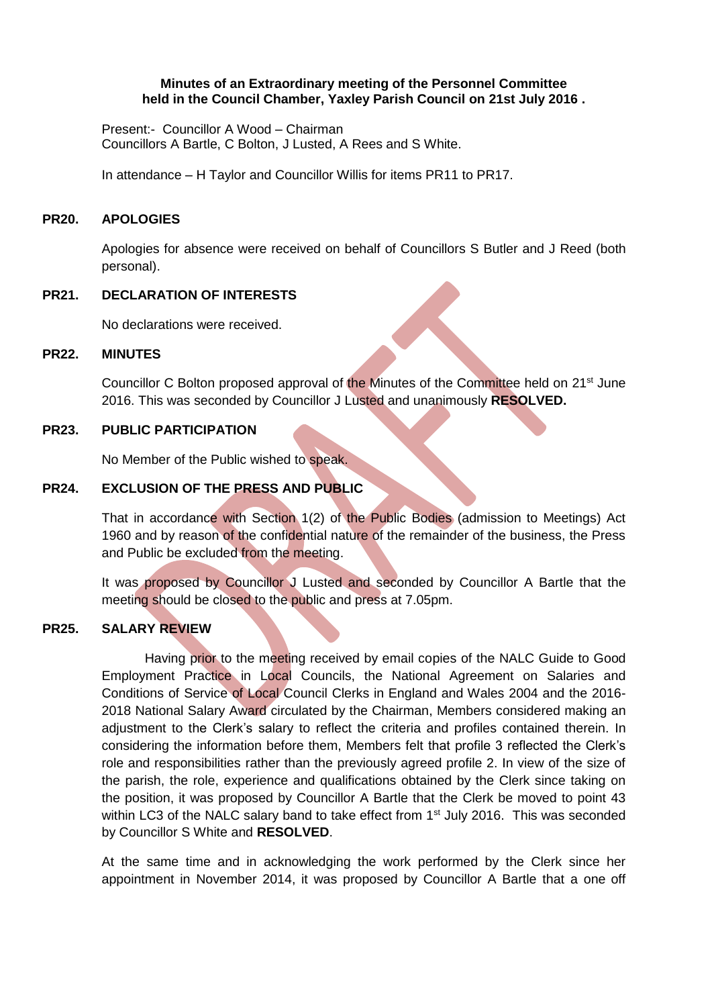## **Minutes of an Extraordinary meeting of the Personnel Committee held in the Council Chamber, Yaxley Parish Council on 21st July 2016 .**

Present:- Councillor A Wood – Chairman Councillors A Bartle, C Bolton, J Lusted, A Rees and S White.

In attendance – H Taylor and Councillor Willis for items PR11 to PR17.

#### **PR20. APOLOGIES**

Apologies for absence were received on behalf of Councillors S Butler and J Reed (both personal).

# **PR21. DECLARATION OF INTERESTS**

No declarations were received.

#### **PR22. MINUTES**

Councillor C Bolton proposed approval of the Minutes of the Committee held on 21<sup>st</sup> June 2016. This was seconded by Councillor J Lusted and unanimously **RESOLVED.**

#### **PR23. PUBLIC PARTICIPATION**

No Member of the Public wished to speak.

## **PR24. EXCLUSION OF THE PRESS AND PUBLIC**

That in accordance with Section 1(2) of the Public Bodies (admission to Meetings) Act 1960 and by reason of the confidential nature of the remainder of the business, the Press and Public be excluded from the meeting.

It was proposed by Councillor J Lusted and seconded by Councillor A Bartle that the meeting should be closed to the public and press at 7.05pm.

## **PR25. SALARY REVIEW**

Having prior to the meeting received by email copies of the NALC Guide to Good Employment Practice in Local Councils, the National Agreement on Salaries and Conditions of Service of Local Council Clerks in England and Wales 2004 and the 2016- 2018 National Salary Award circulated by the Chairman, Members considered making an adjustment to the Clerk's salary to reflect the criteria and profiles contained therein. In considering the information before them, Members felt that profile 3 reflected the Clerk's role and responsibilities rather than the previously agreed profile 2. In view of the size of the parish, the role, experience and qualifications obtained by the Clerk since taking on the position, it was proposed by Councillor A Bartle that the Clerk be moved to point 43 within LC3 of the NALC salary band to take effect from 1<sup>st</sup> July 2016. This was seconded by Councillor S White and **RESOLVED**.

At the same time and in acknowledging the work performed by the Clerk since her appointment in November 2014, it was proposed by Councillor A Bartle that a one off